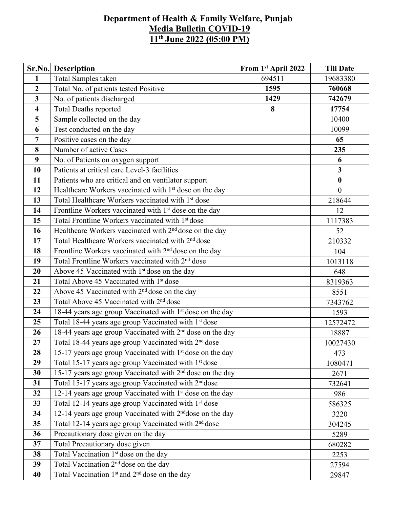## **Department of Health & Family Welfare, Punjab Media Bulletin COVID-19 11 th June 2022 (05:00 PM)**

|                         | <b>Sr.No.</b> Description                                             | From 1st April 2022 | <b>Till Date</b>        |  |  |  |
|-------------------------|-----------------------------------------------------------------------|---------------------|-------------------------|--|--|--|
| $\mathbf{1}$            | Total Samples taken                                                   | 694511              | 19683380                |  |  |  |
| $\overline{2}$          | Total No. of patients tested Positive                                 | 1595                | 760668                  |  |  |  |
| $\overline{3}$          | No. of patients discharged                                            | 1429                | 742679                  |  |  |  |
| $\overline{\mathbf{4}}$ | <b>Total Deaths reported</b>                                          | 17754               |                         |  |  |  |
| 5                       | 8<br>Sample collected on the day                                      |                     |                         |  |  |  |
| 6                       | Test conducted on the day                                             |                     |                         |  |  |  |
| 7                       | Positive cases on the day                                             |                     | 65                      |  |  |  |
| 8                       | Number of active Cases                                                |                     | 235                     |  |  |  |
| 9                       | No. of Patients on oxygen support                                     |                     | 6                       |  |  |  |
| 10                      | Patients at critical care Level-3 facilities                          |                     | $\overline{\mathbf{3}}$ |  |  |  |
| 11                      | Patients who are critical and on ventilator support                   |                     | $\boldsymbol{0}$        |  |  |  |
| 12                      | Healthcare Workers vaccinated with 1 <sup>st</sup> dose on the day    |                     | $\overline{0}$          |  |  |  |
| 13                      | Total Healthcare Workers vaccinated with 1 <sup>st</sup> dose         |                     | 218644                  |  |  |  |
| 14                      | Frontline Workers vaccinated with 1 <sup>st</sup> dose on the day     |                     |                         |  |  |  |
| 15                      | Total Frontline Workers vaccinated with 1 <sup>st</sup> dose          |                     |                         |  |  |  |
| 16                      | Healthcare Workers vaccinated with 2 <sup>nd</sup> dose on the day    |                     |                         |  |  |  |
| 17                      | Total Healthcare Workers vaccinated with 2 <sup>nd</sup> dose         |                     |                         |  |  |  |
| 18                      | Frontline Workers vaccinated with $2nd$ dose on the day               |                     |                         |  |  |  |
| 19                      | Total Frontline Workers vaccinated with 2 <sup>nd</sup> dose          |                     |                         |  |  |  |
| 20                      | Above 45 Vaccinated with 1 <sup>st</sup> dose on the day              |                     |                         |  |  |  |
| 21                      | Total Above 45 Vaccinated with 1 <sup>st</sup> dose                   |                     |                         |  |  |  |
| 22                      | Above 45 Vaccinated with 2 <sup>nd</sup> dose on the day              |                     |                         |  |  |  |
| 23                      | Total Above 45 Vaccinated with 2 <sup>nd</sup> dose                   |                     |                         |  |  |  |
| 24                      | 18-44 years age group Vaccinated with 1 <sup>st</sup> dose on the day |                     |                         |  |  |  |
| 25                      | Total 18-44 years age group Vaccinated with 1 <sup>st</sup> dose      |                     |                         |  |  |  |
| 26                      | 18-44 years age group Vaccinated with 2 <sup>nd</sup> dose on the day |                     |                         |  |  |  |
| 27                      | Total 18-44 years age group Vaccinated with 2 <sup>nd</sup> dose      |                     |                         |  |  |  |
| 28                      | 15-17 years age group Vaccinated with 1 <sup>st</sup> dose on the day | 473                 |                         |  |  |  |
| 29                      | Total 15-17 years age group Vaccinated with 1st dose                  |                     |                         |  |  |  |
| 30                      | 15-17 years age group Vaccinated with 2 <sup>nd</sup> dose on the day |                     |                         |  |  |  |
| 31                      | Total 15-17 years age group Vaccinated with 2 <sup>nd</sup> dose      |                     | 732641                  |  |  |  |
| 32                      | 12-14 years age group Vaccinated with 1 <sup>st</sup> dose on the day |                     | 986                     |  |  |  |
| 33                      | Total 12-14 years age group Vaccinated with 1 <sup>st</sup> dose      |                     | 586325                  |  |  |  |
| 34                      | 12-14 years age group Vaccinated with 2 <sup>nd</sup> dose on the day |                     | 3220                    |  |  |  |
| 35                      | Total 12-14 years age group Vaccinated with 2 <sup>nd</sup> dose      |                     | 304245                  |  |  |  |
| 36                      | Precautionary dose given on the day                                   |                     | 5289                    |  |  |  |
| 37                      | Total Precautionary dose given                                        |                     | 680282                  |  |  |  |
| 38                      | Total Vaccination 1 <sup>st</sup> dose on the day                     |                     | 2253                    |  |  |  |
| 39                      | Total Vaccination 2 <sup>nd</sup> dose on the day                     |                     | 27594                   |  |  |  |
| 40                      | Total Vaccination 1 <sup>st</sup> and 2 <sup>nd</sup> dose on the day | 29847               |                         |  |  |  |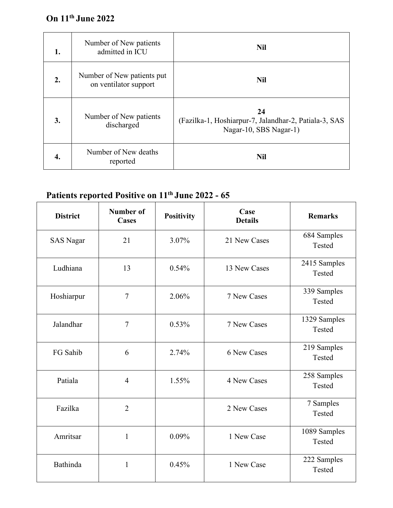## **On 11 th June 2022**

| 1. | Number of New patients<br>admitted in ICU           | <b>Nil</b>                                                                            |
|----|-----------------------------------------------------|---------------------------------------------------------------------------------------|
| 2. | Number of New patients put<br>on ventilator support | <b>Nil</b>                                                                            |
| 3. | Number of New patients<br>discharged                | 24<br>(Fazilka-1, Hoshiarpur-7, Jalandhar-2, Patiala-3, SAS<br>Nagar-10, SBS Nagar-1) |
| 4. | Number of New deaths<br>reported                    | <b>Nil</b>                                                                            |

## **Patients reported Positive on 11 th June 2022 - 65**

| <b>District</b>  | <b>Number of</b><br><b>Cases</b> | <b>Positivity</b> | Case<br><b>Details</b> | <b>Remarks</b>         |  |
|------------------|----------------------------------|-------------------|------------------------|------------------------|--|
| <b>SAS Nagar</b> | 21                               | 3.07%             | 21 New Cases           | 684 Samples<br>Tested  |  |
| Ludhiana         | 13                               | 0.54%             | 13 New Cases           | 2415 Samples<br>Tested |  |
| Hoshiarpur       | $\overline{7}$                   | 2.06%             | 7 New Cases            | 339 Samples<br>Tested  |  |
| Jalandhar        | $\overline{7}$                   | 0.53%             | 7 New Cases            | 1329 Samples<br>Tested |  |
| FG Sahib         | 6                                | 2.74%             | 6 New Cases            | 219 Samples<br>Tested  |  |
| Patiala          | 4                                | 1.55%             | 4 New Cases            | 258 Samples<br>Tested  |  |
| Fazilka          | $\overline{2}$                   |                   | 2 New Cases            | 7 Samples<br>Tested    |  |
| Amritsar         | $\mathbf{1}$                     | 0.09%             | 1 New Case             | 1089 Samples<br>Tested |  |
| Bathinda         | $\mathbf{1}$                     | 0.45%             | 1 New Case             | 222 Samples<br>Tested  |  |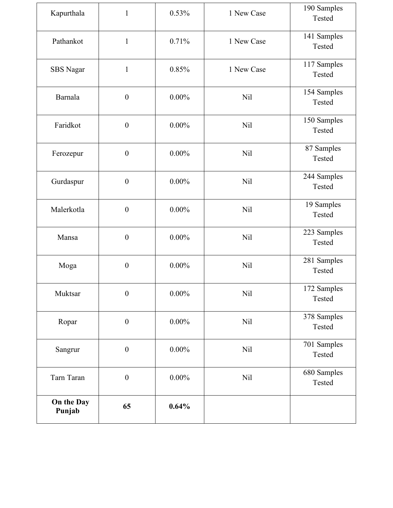| Kapurthala           | $\mathbf{1}$     | 0.53%    | 1 New Case | 190 Samples<br>Tested |
|----------------------|------------------|----------|------------|-----------------------|
| Pathankot            | $\mathbf{1}$     | 0.71%    | 1 New Case | 141 Samples<br>Tested |
| <b>SBS</b> Nagar     | $\mathbf{1}$     | 0.85%    | 1 New Case | 117 Samples<br>Tested |
| Barnala              | $\boldsymbol{0}$ | $0.00\%$ | Nil        | 154 Samples<br>Tested |
| Faridkot             | $\boldsymbol{0}$ | $0.00\%$ | <b>Nil</b> | 150 Samples<br>Tested |
| Ferozepur            | $\boldsymbol{0}$ | $0.00\%$ | <b>Nil</b> | 87 Samples<br>Tested  |
| Gurdaspur            | $\boldsymbol{0}$ | $0.00\%$ | <b>Nil</b> | 244 Samples<br>Tested |
| Malerkotla           | $\boldsymbol{0}$ | $0.00\%$ | <b>Nil</b> | 19 Samples<br>Tested  |
| Mansa                | $\boldsymbol{0}$ | $0.00\%$ | Nil        | 223 Samples<br>Tested |
| Moga                 | $\boldsymbol{0}$ | $0.00\%$ | <b>Nil</b> | 281 Samples<br>Tested |
| Muktsar              | $\boldsymbol{0}$ | $0.00\%$ | Nil        | 172 Samples<br>Tested |
| Ropar                | $\boldsymbol{0}$ | $0.00\%$ | <b>Nil</b> | 378 Samples<br>Tested |
| Sangrur              | $\boldsymbol{0}$ | $0.00\%$ | <b>Nil</b> | 701 Samples<br>Tested |
| Tarn Taran           | $\boldsymbol{0}$ | $0.00\%$ | Nil        | 680 Samples<br>Tested |
| On the Day<br>Punjab | 65               | 0.64%    |            |                       |
|                      |                  |          |            |                       |